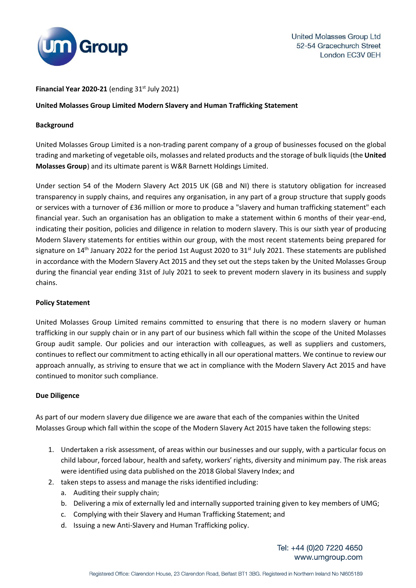

## Financial Year  $2020-21$  (ending  $31<sup>st</sup>$  July 2021)

# **United Molasses Group Limited Modern Slavery and Human Trafficking Statement**

## **Background**

United Molasses Group Limited is a non-trading parent company of a group of businesses focused on the global trading and marketing of vegetable oils, molasses and related products and the storage of bulk liquids (the **United Molasses Group**) and its ultimate parent is W&R Barnett Holdings Limited.

Under section 54 of the Modern Slavery Act 2015 UK (GB and NI) there is statutory obligation for increased transparency in supply chains, and requires any organisation, in any part of a group structure that supply goods or services with a turnover of £36 million or more to produce a "slavery and human trafficking statement" each financial year. Such an organisation has an obligation to make a statement within 6 months of their year-end, indicating their position, policies and diligence in relation to modern slavery. This is our sixth year of producing Modern Slavery statements for entities within our group, with the most recent statements being prepared for signature on 14<sup>th</sup> January 2022 for the period 1st August 2020 to 31<sup>st</sup> July 2021. These statements are published in accordance with the Modern Slavery Act 2015 and they set out the steps taken by the United Molasses Group during the financial year ending 31st of July 2021 to seek to prevent modern slavery in its business and supply chains.

## **Policy Statement**

United Molasses Group Limited remains committed to ensuring that there is no modern slavery or human trafficking in our supply chain or in any part of our business which fall within the scope of the United Molasses Group audit sample. Our policies and our interaction with colleagues, as well as suppliers and customers, continues to reflect our commitment to acting ethically in all our operational matters. We continue to review our approach annually, as striving to ensure that we act in compliance with the Modern Slavery Act 2015 and have continued to monitor such compliance.

## **Due Diligence**

As part of our modern slavery due diligence we are aware that each of the companies within the United Molasses Group which fall within the scope of the Modern Slavery Act 2015 have taken the following steps:

- 1. Undertaken a risk assessment, of areas within our businesses and our supply, with a particular focus on child labour, forced labour, health and safety, workers' rights, diversity and minimum pay. The risk areas were identified using data published on the 2018 Global Slavery Index; and
- 2. taken steps to assess and manage the risks identified including:
	- a. Auditing their supply chain;
	- b. Delivering a mix of externally led and internally supported training given to key members of UMG;
	- c. Complying with their Slavery and Human Trafficking Statement; and
	- d. Issuing a new Anti-Slavery and Human Trafficking policy.

Tel: +44 (0)20 7220 4650 www.umgroup.com